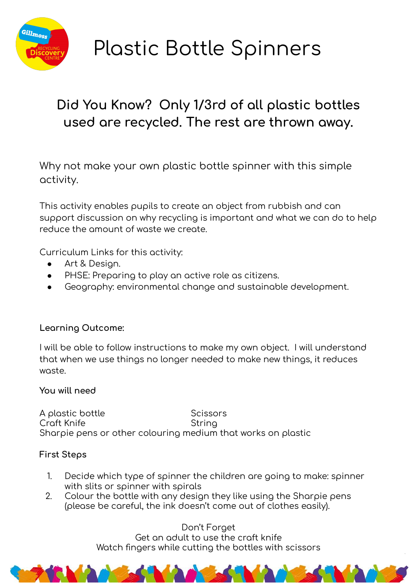

# **Plastic Bottle Spinners**

## Did You Know? Only 1/3rd of all plastic bottles used are recycled. The rest are thrown away.

Why not make your own plastic bottle spinner with this simple activity.

This activity enables pupils to create an object from rubbish and can support discussion on why recycling is important and what we can do to help reduce the amount of waste we create.

Curriculum Links for this activity:

- Art & Design.
- PHSE: Preparing to play an active role as citizens.
- Geography: environmental change and sustainable development.

#### Learning Outcome:

I will be able to follow instructions to make my own object. I will understand that when we use things no longer needed to make new things, it reduces waste.

#### You will need

A plastic bottle Scissors Croft Knife String Sharpie pens or other colouring medium that works on plastic

#### **First Steps**

- Decide which type of spinner the children are going to make: spinner 1. with slits or spinner with spirals
- $2.$ Colour the bottle with any design they like using the Sharpie pens (please be careful, the ink doesn't come out of clothes easily).

Don't Forget Get an adult to use the craft knife Watch fingers while cutting the bottles with scissors

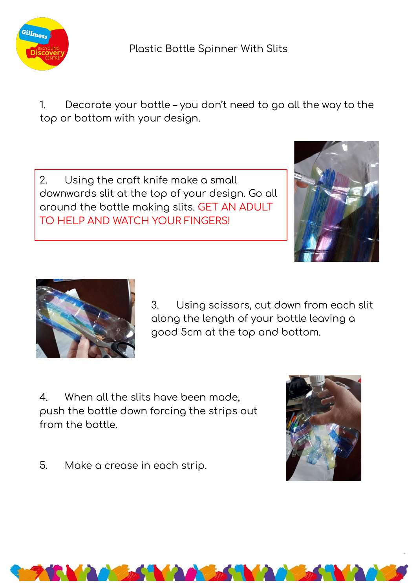

### Plastic Bottle Spinner With Slits

Decorate your bottle - you don't need to go all the way to the  $\mathbf{1}$ . top or bottom with your design.

 $2.$ Using the craft knife make a small downwards slit at the top of your design. Go all around the bottle making slits. GET AN ADULT TO HELP AND WATCH YOUR FINGERS!





3. Using scissors, cut down from each slit along the length of your bottle leaving a good 5cm at the top and bottom.

 $\overline{4}$ . When all the slits have been made, push the bottle down forcing the strips out from the bottle.



5. Make a crease in each strip.

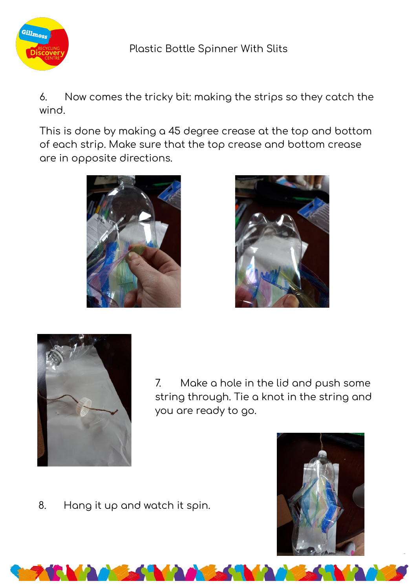

Now comes the tricky bit: making the strips so they catch the 6. wind.

This is done by making a 45 degree crease at the top and bottom of each strip. Make sure that the top crease and bottom crease are in opposite directions.







 $7.$ Make a hole in the lid and push some string through. Tie a knot in the string and you are ready to go.

Hang it up and watch it spin. 8.